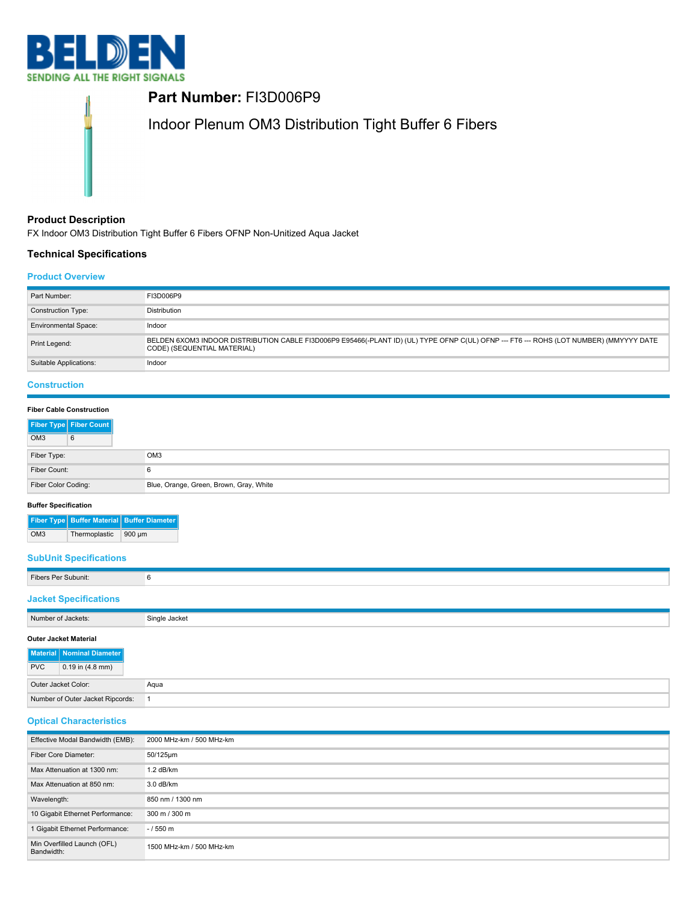

**Part Number:** FI3D006P9 Indoor Plenum OM3 Distribution Tight Buffer 6 Fibers

# **Product Description**

FX Indoor OM3 Distribution Tight Buffer 6 Fibers OFNP Non-Unitized Aqua Jacket

# **Technical Specifications**

# **Product Overview**

| Part Number:                | FI3D006P9                                                                                                                                                              |
|-----------------------------|------------------------------------------------------------------------------------------------------------------------------------------------------------------------|
| Construction Type:          | Distribution                                                                                                                                                           |
| <b>Environmental Space:</b> | Indoor                                                                                                                                                                 |
| Print Legend:               | BELDEN 6XOM3 INDOOR DISTRIBUTION CABLE FI3D006P9 E95466(-PLANT ID) (UL) TYPE OFNP C(UL) OFNP --- FT6 --- ROHS (LOT NUMBER) (MMYYYY DATE<br>CODE) (SEQUENTIAL MATERIAL) |
| Suitable Applications:      | Indoor                                                                                                                                                                 |

# **Construction**

## **Fiber Cable Construction**

|                     | Fiber Type Fiber Count |                                         |
|---------------------|------------------------|-----------------------------------------|
| OM <sub>3</sub>     | 6                      |                                         |
| Fiber Type:         |                        | OM <sub>3</sub>                         |
| Fiber Count:        |                        | 6                                       |
| Fiber Color Coding: |                        | Blue, Orange, Green, Brown, Gray, White |

## **Buffer Specification**

|     |               | Fiber Type Buffer Material Buffer Diameter |
|-----|---------------|--------------------------------------------|
| OM3 | Thermoplastic | $900 \mu m$                                |

# **SubUnit Specifications**

| Fibers Per Subunit:                                                                           | 6             |
|-----------------------------------------------------------------------------------------------|---------------|
| <b>Jacket Specifications</b>                                                                  |               |
| Number of Jackets:                                                                            | Single Jacket |
| <b>Outer Jacket Material</b><br>Material Nominal Diameter<br>$0.19$ in (4.8 mm)<br><b>PVC</b> |               |
| Outer Jacket Color:                                                                           | Aqua          |

| <b>Optical Characteristics</b> |
|--------------------------------|

Number of Outer Jacket Ripcords: 1

| Effective Modal Bandwidth (EMB):          | 2000 MHz-km / 500 MHz-km |
|-------------------------------------------|--------------------------|
| Fiber Core Diameter:                      | 50/125um                 |
| Max Attenuation at 1300 nm:               | $1.2$ dB/km              |
| Max Attenuation at 850 nm:                | 3.0 dB/km                |
| Wavelength:                               | 850 nm / 1300 nm         |
| 10 Gigabit Ethernet Performance:          | 300 m / 300 m            |
| 1 Gigabit Ethernet Performance:           | $-1550 m$                |
| Min Overfilled Launch (OFL)<br>Bandwidth: | 1500 MHz-km / 500 MHz-km |